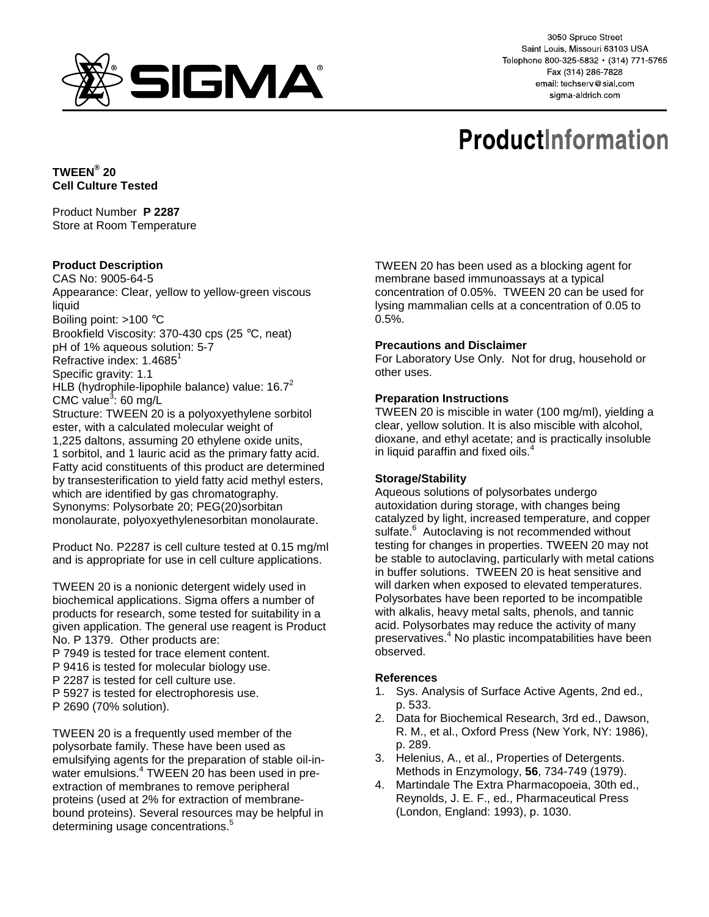

3050 Spruce Street Saint Louis, Missouri 63103 USA Telephone 800-325-5832 · (314) 771-5765 Fax (314) 286-7828 email: techserv@sial.com sigma-aldrich.com

# **ProductInformation**

**TWEEN® 20 Cell Culture Tested** 

Product Number **P 2287** Store at Room Temperature

## **Product Description**

CAS No: 9005-64-5 Appearance: Clear, yellow to yellow-green viscous liquid Boiling point: >100 °C Brookfield Viscosity: 370-430 cps (25 °C, neat) pH of 1% aqueous solution: 5-7 Refractive index:  $1.4685^1$ Specific gravity: 1.1 HLB (hydrophile-lipophile balance) value:  $16.7<sup>2</sup>$ CMC value<sup>3</sup>: 60 mg/L Structure: TWEEN 20 is a polyoxyethylene sorbitol ester, with a calculated molecular weight of 1,225 daltons, assuming 20 ethylene oxide units, 1 sorbitol, and 1 lauric acid as the primary fatty acid. Fatty acid constituents of this product are determined by transesterification to yield fatty acid methyl esters, which are identified by gas chromatography. Synonyms: Polysorbate 20; PEG(20)sorbitan monolaurate, polyoxyethylenesorbitan monolaurate.

Product No. P2287 is cell culture tested at 0.15 mg/ml and is appropriate for use in cell culture applications.

TWEEN 20 is a nonionic detergent widely used in biochemical applications. Sigma offers a number of products for research, some tested for suitability in a given application. The general use reagent is Product No. P 1379. Other products are:

- P 7949 is tested for trace element content.
- P 9416 is tested for molecular biology use.
- P 2287 is tested for cell culture use.
- P 5927 is tested for electrophoresis use.
- P 2690 (70% solution).

TWEEN 20 is a frequently used member of the polysorbate family. These have been used as emulsifying agents for the preparation of stable oil-inwater emulsions.<sup>4</sup> TWEEN 20 has been used in preextraction of membranes to remove peripheral proteins (used at 2% for extraction of membranebound proteins). Several resources may be helpful in determining usage concentrations.<sup>5</sup>

TWEEN 20 has been used as a blocking agent for membrane based immunoassays at a typical concentration of 0.05%. TWEEN 20 can be used for lysing mammalian cells at a concentration of 0.05 to 0.5%.

## **Precautions and Disclaimer**

For Laboratory Use Only. Not for drug, household or other uses.

## **Preparation Instructions**

TWEEN 20 is miscible in water (100 mg/ml), yielding a clear, yellow solution. It is also miscible with alcohol, dioxane, and ethyl acetate; and is practically insoluble in liquid paraffin and fixed oils.<sup>4</sup>

## **Storage/Stability**

Aqueous solutions of polysorbates undergo autoxidation during storage, with changes being catalyzed by light, increased temperature, and copper sulfate.<sup>6</sup> Autoclaving is not recommended without testing for changes in properties. TWEEN 20 may not be stable to autoclaving, particularly with metal cations in buffer solutions. TWEEN 20 is heat sensitive and will darken when exposed to elevated temperatures. Polysorbates have been reported to be incompatible with alkalis, heavy metal salts, phenols, and tannic acid. Polysorbates may reduce the activity of many preservatives.<sup>4</sup> No plastic incompatabilities have been observed.

## **References**

- 1. Sys. Analysis of Surface Active Agents, 2nd ed., p. 533.
- 2. Data for Biochemical Research, 3rd ed., Dawson, R. M., et al., Oxford Press (New York, NY: 1986), p. 289.
- 3. Helenius, A., et al., Properties of Detergents. Methods in Enzymology, **56**, 734-749 (1979).
- 4. Martindale The Extra Pharmacopoeia, 30th ed., Reynolds, J. E. F., ed., Pharmaceutical Press (London, England: 1993), p. 1030.